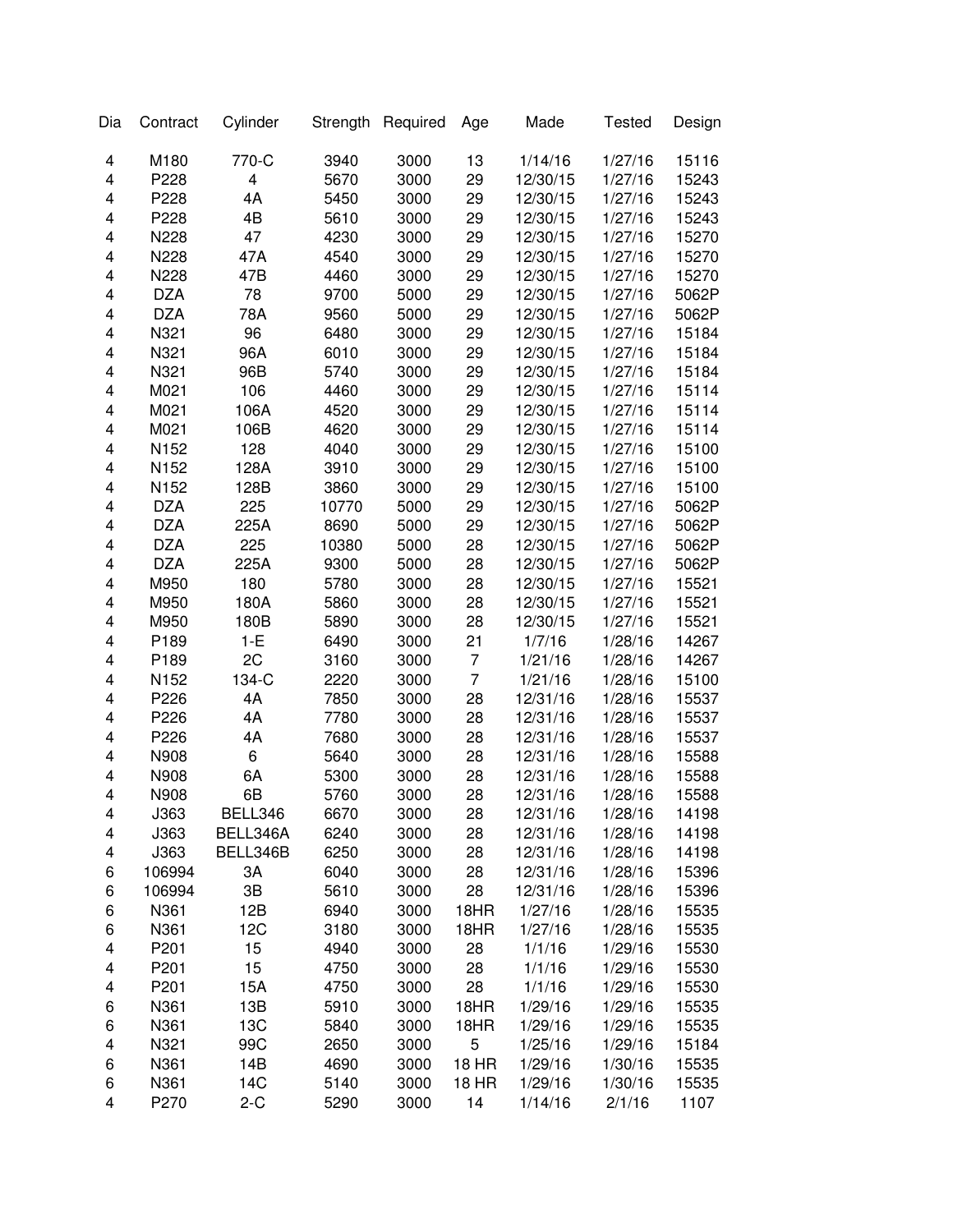| Dia | Contract   | Cylinder | Strength | Required | Age            | Made     | <b>Tested</b> | Design |
|-----|------------|----------|----------|----------|----------------|----------|---------------|--------|
| 4   | M180       | 770-C    | 3940     | 3000     | 13             | 1/14/16  | 1/27/16       | 15116  |
| 4   | P228       | 4        | 5670     | 3000     | 29             | 12/30/15 | 1/27/16       | 15243  |
| 4   | P228       | 4A       | 5450     | 3000     | 29             | 12/30/15 | 1/27/16       | 15243  |
| 4   | P228       | 4B       | 5610     | 3000     | 29             | 12/30/15 | 1/27/16       | 15243  |
| 4   | N228       | 47       | 4230     | 3000     | 29             | 12/30/15 | 1/27/16       | 15270  |
| 4   | N228       | 47A      | 4540     | 3000     | 29             | 12/30/15 | 1/27/16       | 15270  |
| 4   | N228       | 47B      | 4460     | 3000     | 29             | 12/30/15 | 1/27/16       | 15270  |
| 4   | <b>DZA</b> | 78       | 9700     | 5000     | 29             | 12/30/15 | 1/27/16       | 5062P  |
| 4   | <b>DZA</b> | 78A      | 9560     | 5000     | 29             | 12/30/15 | 1/27/16       | 5062P  |
| 4   | N321       | 96       | 6480     | 3000     | 29             | 12/30/15 | 1/27/16       | 15184  |
| 4   | N321       | 96A      | 6010     | 3000     | 29             | 12/30/15 | 1/27/16       | 15184  |
| 4   | N321       | 96B      | 5740     | 3000     | 29             | 12/30/15 | 1/27/16       | 15184  |
| 4   | M021       | 106      | 4460     | 3000     | 29             | 12/30/15 | 1/27/16       | 15114  |
| 4   | M021       | 106A     | 4520     | 3000     | 29             | 12/30/15 | 1/27/16       | 15114  |
| 4   | M021       | 106B     | 4620     | 3000     | 29             | 12/30/15 | 1/27/16       | 15114  |
| 4   | N152       | 128      | 4040     | 3000     | 29             | 12/30/15 | 1/27/16       | 15100  |
| 4   | N152       | 128A     | 3910     | 3000     | 29             | 12/30/15 | 1/27/16       | 15100  |
| 4   | N152       | 128B     | 3860     | 3000     | 29             | 12/30/15 | 1/27/16       | 15100  |
| 4   | <b>DZA</b> | 225      | 10770    | 5000     | 29             | 12/30/15 | 1/27/16       | 5062P  |
| 4   | <b>DZA</b> | 225A     | 8690     | 5000     | 29             | 12/30/15 | 1/27/16       | 5062P  |
| 4   | <b>DZA</b> | 225      | 10380    | 5000     | 28             | 12/30/15 | 1/27/16       | 5062P  |
| 4   | <b>DZA</b> | 225A     | 9300     | 5000     | 28             | 12/30/15 | 1/27/16       | 5062P  |
| 4   | M950       | 180      | 5780     | 3000     | 28             | 12/30/15 | 1/27/16       | 15521  |
| 4   | M950       | 180A     | 5860     | 3000     | 28             | 12/30/15 | 1/27/16       | 15521  |
| 4   | M950       | 180B     | 5890     | 3000     | 28             | 12/30/15 | 1/27/16       | 15521  |
| 4   | P189       | $1-E$    | 6490     | 3000     | 21             | 1/7/16   | 1/28/16       | 14267  |
| 4   | P189       | 2C       | 3160     | 3000     | $\overline{7}$ | 1/21/16  | 1/28/16       | 14267  |
| 4   | N152       | 134-C    | 2220     | 3000     | $\overline{7}$ | 1/21/16  | 1/28/16       | 15100  |
| 4   | P226       | 4A       | 7850     | 3000     | 28             | 12/31/16 | 1/28/16       | 15537  |
| 4   | P226       | 4A       | 7780     | 3000     | 28             | 12/31/16 | 1/28/16       | 15537  |
| 4   | P226       | 4A       | 7680     | 3000     | 28             | 12/31/16 | 1/28/16       | 15537  |
| 4   | N908       | 6        | 5640     | 3000     | 28             | 12/31/16 | 1/28/16       | 15588  |
| 4   | N908       | 6A       | 5300     | 3000     | 28             | 12/31/16 | 1/28/16       | 15588  |
| 4   | N908       | 6B       | 5760     | 3000     | 28             | 12/31/16 | 1/28/16       | 15588  |
| 4   | J363       | BELL346  | 6670     | 3000     | 28             | 12/31/16 | 1/28/16       | 14198  |
| 4   | J363       | BELL346A | 6240     | 3000     | 28             | 12/31/16 | 1/28/16       | 14198  |
| 4   | J363       | BELL346B | 6250     | 3000     | 28             | 12/31/16 | 1/28/16       | 14198  |
| 6   | 106994     | 3A       | 6040     | 3000     | 28             | 12/31/16 | 1/28/16       | 15396  |
| 6   | 106994     | 3B       | 5610     | 3000     | 28             | 12/31/16 | 1/28/16       | 15396  |
| 6   | N361       | 12B      | 6940     | 3000     | 18HR           | 1/27/16  | 1/28/16       | 15535  |
| 6   | N361       | 12C      | 3180     | 3000     | 18HR           | 1/27/16  | 1/28/16       | 15535  |
| 4   | P201       | 15       | 4940     | 3000     | 28             | 1/1/16   | 1/29/16       | 15530  |
| 4   | P201       | 15       | 4750     | 3000     | 28             | 1/1/16   | 1/29/16       | 15530  |
| 4   | P201       | 15A      | 4750     | 3000     | 28             | 1/1/16   | 1/29/16       | 15530  |
| 6   | N361       | 13B      | 5910     | 3000     | 18HR           | 1/29/16  | 1/29/16       | 15535  |
| 6   | N361       | 13C      | 5840     | 3000     | 18HR           | 1/29/16  | 1/29/16       | 15535  |
| 4   | N321       | 99C      | 2650     | 3000     | 5              | 1/25/16  | 1/29/16       | 15184  |
| 6   | N361       | 14B      | 4690     | 3000     | <b>18 HR</b>   | 1/29/16  | 1/30/16       | 15535  |
| 6   | N361       | 14C      | 5140     | 3000     | <b>18 HR</b>   | 1/29/16  | 1/30/16       | 15535  |
| 4   | P270       | $2-C$    | 5290     | 3000     | 14             | 1/14/16  | 2/1/16        | 1107   |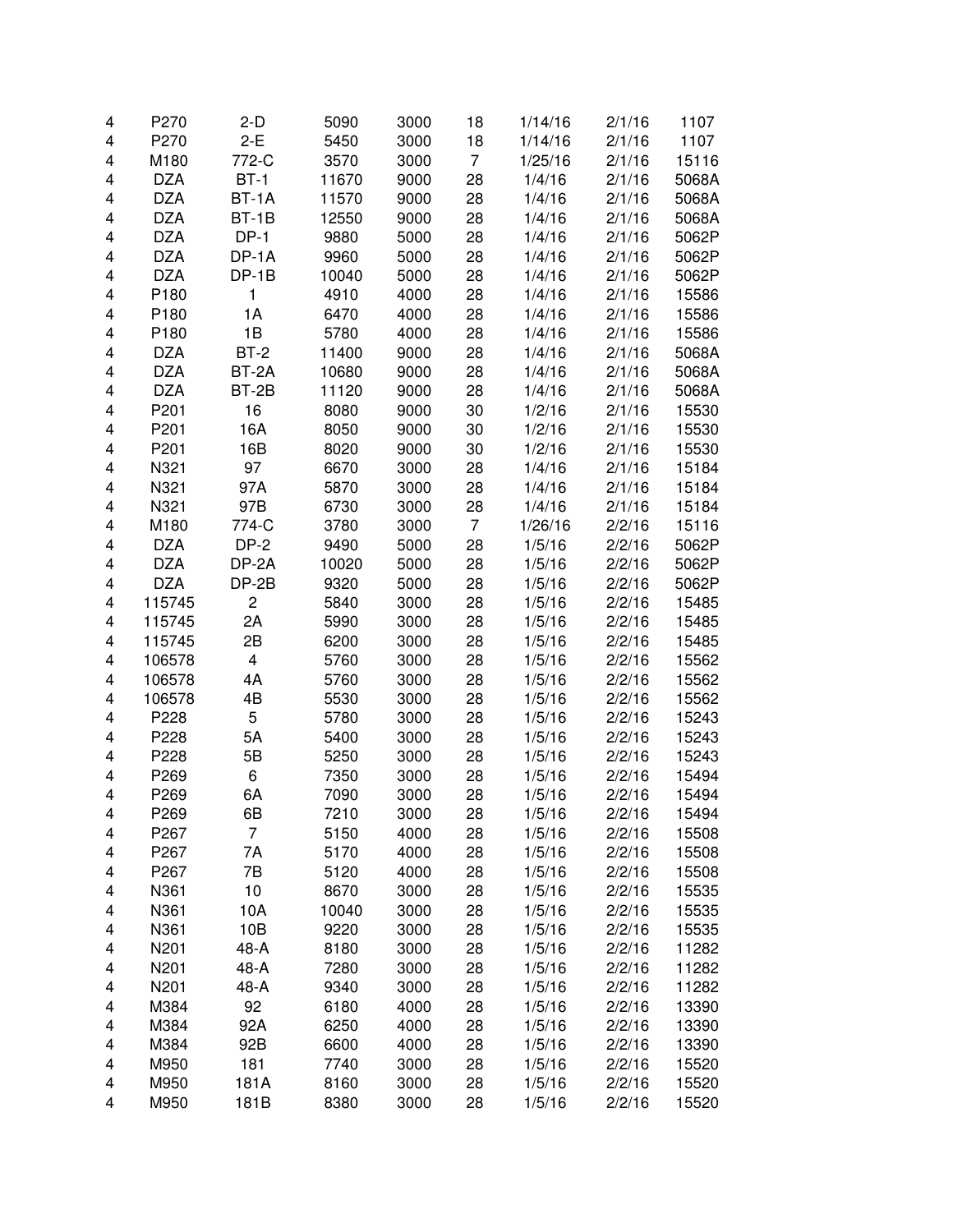| 4 | P270       | $2-D$                   | 5090  | 3000 | 18 | 1/14/16 | 2/1/16 | 1107  |
|---|------------|-------------------------|-------|------|----|---------|--------|-------|
| 4 | P270       | $2-E$                   | 5450  | 3000 | 18 | 1/14/16 | 2/1/16 | 1107  |
| 4 | M180       | 772-C                   | 3570  | 3000 | 7  | 1/25/16 | 2/1/16 | 15116 |
| 4 | <b>DZA</b> | $BT-1$                  | 11670 | 9000 | 28 | 1/4/16  | 2/1/16 | 5068A |
| 4 | <b>DZA</b> | BT-1A                   | 11570 | 9000 | 28 | 1/4/16  | 2/1/16 | 5068A |
| 4 | <b>DZA</b> | $BT-1B$                 | 12550 | 9000 | 28 | 1/4/16  | 2/1/16 | 5068A |
| 4 | <b>DZA</b> | $DP-1$                  | 9880  | 5000 | 28 | 1/4/16  | 2/1/16 | 5062P |
| 4 | <b>DZA</b> | DP-1A                   | 9960  | 5000 | 28 | 1/4/16  | 2/1/16 | 5062P |
| 4 | <b>DZA</b> | $DP-1B$                 | 10040 | 5000 | 28 | 1/4/16  | 2/1/16 | 5062P |
| 4 | P180       | 1                       | 4910  | 4000 | 28 | 1/4/16  | 2/1/16 | 15586 |
| 4 | P180       | 1A                      | 6470  | 4000 | 28 | 1/4/16  | 2/1/16 | 15586 |
| 4 | P180       | 1B                      | 5780  | 4000 | 28 | 1/4/16  | 2/1/16 | 15586 |
| 4 | <b>DZA</b> | $BT-2$                  | 11400 | 9000 | 28 | 1/4/16  | 2/1/16 | 5068A |
| 4 | <b>DZA</b> | BT-2A                   | 10680 | 9000 | 28 | 1/4/16  | 2/1/16 | 5068A |
| 4 | <b>DZA</b> | BT-2B                   | 11120 | 9000 | 28 | 1/4/16  | 2/1/16 | 5068A |
| 4 | P201       | 16                      | 8080  | 9000 | 30 | 1/2/16  | 2/1/16 | 15530 |
| 4 | P201       | 16A                     | 8050  | 9000 | 30 | 1/2/16  | 2/1/16 | 15530 |
| 4 | P201       | 16B                     | 8020  | 9000 | 30 | 1/2/16  | 2/1/16 | 15530 |
| 4 | N321       | 97                      | 6670  | 3000 | 28 | 1/4/16  | 2/1/16 | 15184 |
| 4 | N321       | 97A                     | 5870  | 3000 | 28 | 1/4/16  | 2/1/16 | 15184 |
| 4 | N321       | 97B                     | 6730  | 3000 | 28 | 1/4/16  | 2/1/16 | 15184 |
| 4 | M180       | 774-C                   | 3780  | 3000 | 7  | 1/26/16 | 2/2/16 | 15116 |
| 4 | <b>DZA</b> | $DP-2$                  | 9490  | 5000 | 28 | 1/5/16  | 2/2/16 | 5062P |
| 4 | <b>DZA</b> | DP-2A                   | 10020 | 5000 | 28 | 1/5/16  | 2/2/16 | 5062P |
| 4 | <b>DZA</b> | DP-2B                   | 9320  | 5000 | 28 | 1/5/16  | 2/2/16 | 5062P |
| 4 | 115745     | $\overline{c}$          | 5840  | 3000 | 28 | 1/5/16  | 2/2/16 | 15485 |
| 4 | 115745     | 2A                      | 5990  | 3000 | 28 | 1/5/16  | 2/2/16 | 15485 |
| 4 | 115745     | 2B                      | 6200  | 3000 | 28 | 1/5/16  | 2/2/16 | 15485 |
| 4 | 106578     | $\overline{\mathbf{4}}$ | 5760  | 3000 | 28 | 1/5/16  | 2/2/16 | 15562 |
| 4 | 106578     | 4A                      | 5760  | 3000 | 28 | 1/5/16  | 2/2/16 | 15562 |
| 4 | 106578     | 4B                      | 5530  | 3000 | 28 | 1/5/16  | 2/2/16 | 15562 |
| 4 | P228       | 5                       | 5780  | 3000 | 28 | 1/5/16  | 2/2/16 | 15243 |
| 4 | P228       | 5A                      | 5400  | 3000 | 28 | 1/5/16  | 2/2/16 | 15243 |
| 4 | P228       | 5B                      | 5250  | 3000 | 28 | 1/5/16  | 2/2/16 | 15243 |
| 4 | P269       | 6                       | 7350  | 3000 | 28 | 1/5/16  | 2/2/16 | 15494 |
| 4 | P269       | 6A                      | 7090  | 3000 | 28 | 1/5/16  | 2/2/16 | 15494 |
| 4 | P269       | 6B                      | 7210  | 3000 | 28 | 1/5/16  | 2/2/16 | 15494 |
| 4 | P267       | 7                       | 5150  | 4000 | 28 | 1/5/16  | 2/2/16 | 15508 |
| 4 | P267       | 7A                      | 5170  | 4000 | 28 | 1/5/16  | 2/2/16 | 15508 |
| 4 | P267       | 7B                      | 5120  | 4000 | 28 | 1/5/16  | 2/2/16 | 15508 |
| 4 | N361       | 10                      | 8670  | 3000 | 28 | 1/5/16  | 2/2/16 | 15535 |
| 4 | N361       | 10A                     | 10040 | 3000 | 28 | 1/5/16  | 2/2/16 | 15535 |
| 4 | N361       | 10B                     | 9220  | 3000 | 28 | 1/5/16  | 2/2/16 | 15535 |
| 4 | N201       | 48-A                    | 8180  | 3000 | 28 | 1/5/16  | 2/2/16 | 11282 |
| 4 | N201       | 48-A                    | 7280  | 3000 | 28 | 1/5/16  | 2/2/16 | 11282 |
| 4 | N201       | 48-A                    | 9340  | 3000 | 28 | 1/5/16  | 2/2/16 | 11282 |
| 4 | M384       | 92                      | 6180  | 4000 | 28 | 1/5/16  | 2/2/16 | 13390 |
| 4 | M384       | 92A                     | 6250  | 4000 | 28 | 1/5/16  | 2/2/16 | 13390 |
| 4 | M384       | 92B                     | 6600  | 4000 | 28 | 1/5/16  | 2/2/16 | 13390 |
| 4 | M950       | 181                     | 7740  | 3000 | 28 | 1/5/16  | 2/2/16 | 15520 |
| 4 | M950       | 181A                    | 8160  | 3000 | 28 | 1/5/16  | 2/2/16 | 15520 |
| 4 | M950       | 181B                    | 8380  | 3000 | 28 | 1/5/16  | 2/2/16 | 15520 |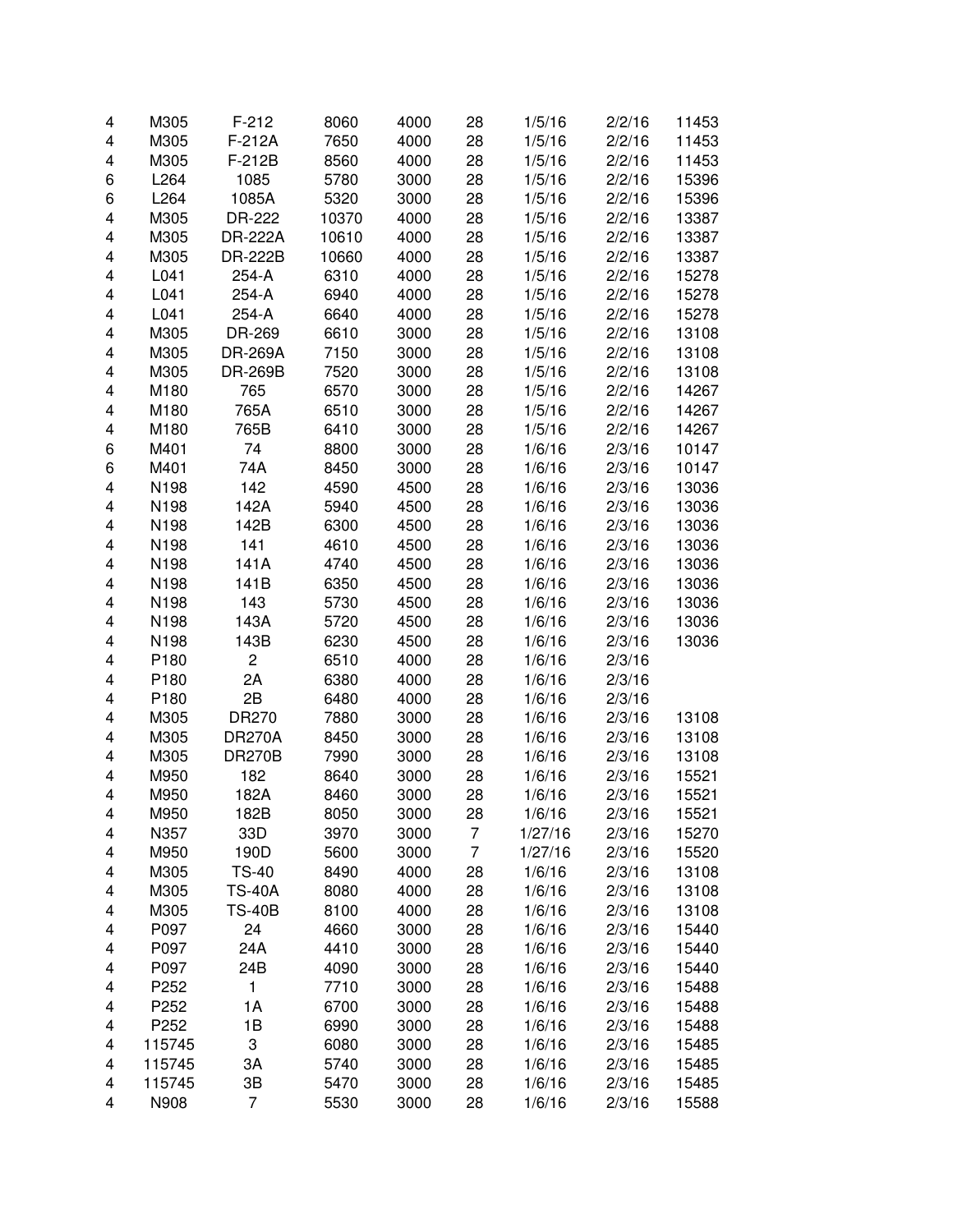| 4 | M305   | $F-212$        | 8060  | 4000 | 28 | 1/5/16  | 2/2/16 | 11453 |
|---|--------|----------------|-------|------|----|---------|--------|-------|
| 4 | M305   | F-212A         | 7650  | 4000 | 28 | 1/5/16  | 2/2/16 | 11453 |
| 4 | M305   | F-212B         | 8560  | 4000 | 28 | 1/5/16  | 2/2/16 | 11453 |
| 6 | L264   | 1085           | 5780  | 3000 | 28 | 1/5/16  | 2/2/16 | 15396 |
| 6 | L264   | 1085A          | 5320  | 3000 | 28 | 1/5/16  | 2/2/16 | 15396 |
| 4 | M305   | DR-222         | 10370 | 4000 | 28 | 1/5/16  | 2/2/16 | 13387 |
| 4 | M305   | <b>DR-222A</b> | 10610 | 4000 | 28 | 1/5/16  | 2/2/16 | 13387 |
| 4 | M305   | <b>DR-222B</b> | 10660 | 4000 | 28 | 1/5/16  | 2/2/16 | 13387 |
| 4 | L041   | 254-A          | 6310  | 4000 | 28 | 1/5/16  | 2/2/16 | 15278 |
| 4 | L041   | 254-A          | 6940  | 4000 | 28 | 1/5/16  | 2/2/16 | 15278 |
| 4 | L041   | 254-A          | 6640  | 4000 | 28 | 1/5/16  | 2/2/16 | 15278 |
| 4 | M305   | DR-269         | 6610  | 3000 | 28 | 1/5/16  | 2/2/16 | 13108 |
| 4 | M305   | <b>DR-269A</b> | 7150  | 3000 | 28 | 1/5/16  | 2/2/16 | 13108 |
| 4 | M305   | <b>DR-269B</b> | 7520  | 3000 | 28 | 1/5/16  | 2/2/16 | 13108 |
| 4 | M180   | 765            | 6570  | 3000 | 28 | 1/5/16  | 2/2/16 | 14267 |
| 4 | M180   | 765A           | 6510  | 3000 | 28 | 1/5/16  | 2/2/16 | 14267 |
| 4 | M180   | 765B           | 6410  | 3000 | 28 | 1/5/16  | 2/2/16 | 14267 |
| 6 | M401   | 74             | 8800  | 3000 | 28 | 1/6/16  | 2/3/16 | 10147 |
| 6 | M401   | 74A            | 8450  | 3000 | 28 | 1/6/16  | 2/3/16 | 10147 |
| 4 | N198   | 142            | 4590  | 4500 | 28 | 1/6/16  | 2/3/16 | 13036 |
| 4 | N198   | 142A           | 5940  | 4500 | 28 | 1/6/16  | 2/3/16 | 13036 |
| 4 | N198   | 142B           | 6300  | 4500 | 28 | 1/6/16  | 2/3/16 | 13036 |
| 4 | N198   | 141            | 4610  | 4500 | 28 | 1/6/16  | 2/3/16 | 13036 |
| 4 | N198   | 141A           | 4740  | 4500 | 28 | 1/6/16  | 2/3/16 | 13036 |
| 4 | N198   | 141B           | 6350  | 4500 | 28 | 1/6/16  | 2/3/16 | 13036 |
| 4 | N198   | 143            | 5730  | 4500 | 28 | 1/6/16  | 2/3/16 | 13036 |
| 4 | N198   | 143A           | 5720  | 4500 | 28 | 1/6/16  | 2/3/16 | 13036 |
| 4 | N198   | 143B           | 6230  | 4500 | 28 | 1/6/16  | 2/3/16 | 13036 |
| 4 | P180   | $\overline{c}$ | 6510  | 4000 | 28 | 1/6/16  | 2/3/16 |       |
| 4 | P180   | 2A             | 6380  | 4000 | 28 | 1/6/16  | 2/3/16 |       |
| 4 | P180   | 2B             | 6480  | 4000 | 28 | 1/6/16  | 2/3/16 |       |
| 4 | M305   | DR270          | 7880  | 3000 | 28 | 1/6/16  | 2/3/16 | 13108 |
| 4 | M305   | <b>DR270A</b>  | 8450  | 3000 | 28 | 1/6/16  | 2/3/16 | 13108 |
| 4 | M305   | <b>DR270B</b>  | 7990  | 3000 | 28 | 1/6/16  | 2/3/16 | 13108 |
| 4 | M950   | 182            | 8640  | 3000 | 28 | 1/6/16  | 2/3/16 | 15521 |
| 4 | M950   | 182A           | 8460  | 3000 | 28 | 1/6/16  | 2/3/16 | 15521 |
| 4 | M950   | 182B           | 8050  | 3000 | 28 | 1/6/16  | 2/3/16 | 15521 |
| 4 | N357   | 33D            | 3970  | 3000 | 7  | 1/27/16 | 2/3/16 | 15270 |
| 4 | M950   | 190D           | 5600  | 3000 | 7  | 1/27/16 | 2/3/16 | 15520 |
| 4 | M305   | <b>TS-40</b>   | 8490  | 4000 | 28 | 1/6/16  | 2/3/16 | 13108 |
| 4 | M305   | <b>TS-40A</b>  | 8080  | 4000 | 28 | 1/6/16  | 2/3/16 | 13108 |
| 4 | M305   | <b>TS-40B</b>  | 8100  | 4000 | 28 | 1/6/16  | 2/3/16 | 13108 |
| 4 | P097   | 24             | 4660  | 3000 | 28 | 1/6/16  | 2/3/16 | 15440 |
| 4 | P097   | 24A            | 4410  | 3000 | 28 | 1/6/16  | 2/3/16 | 15440 |
| 4 | P097   | 24B            | 4090  | 3000 | 28 | 1/6/16  | 2/3/16 | 15440 |
| 4 | P252   | 1              | 7710  | 3000 | 28 | 1/6/16  | 2/3/16 | 15488 |
| 4 | P252   | 1A             | 6700  | 3000 | 28 | 1/6/16  | 2/3/16 | 15488 |
| 4 | P252   | 1B             | 6990  | 3000 | 28 | 1/6/16  | 2/3/16 | 15488 |
| 4 | 115745 | 3              | 6080  | 3000 | 28 | 1/6/16  | 2/3/16 | 15485 |
| 4 | 115745 | 3A             | 5740  | 3000 | 28 | 1/6/16  | 2/3/16 | 15485 |
| 4 | 115745 | 3B             | 5470  | 3000 | 28 | 1/6/16  | 2/3/16 | 15485 |
| 4 | N908   | 7              | 5530  | 3000 | 28 | 1/6/16  | 2/3/16 | 15588 |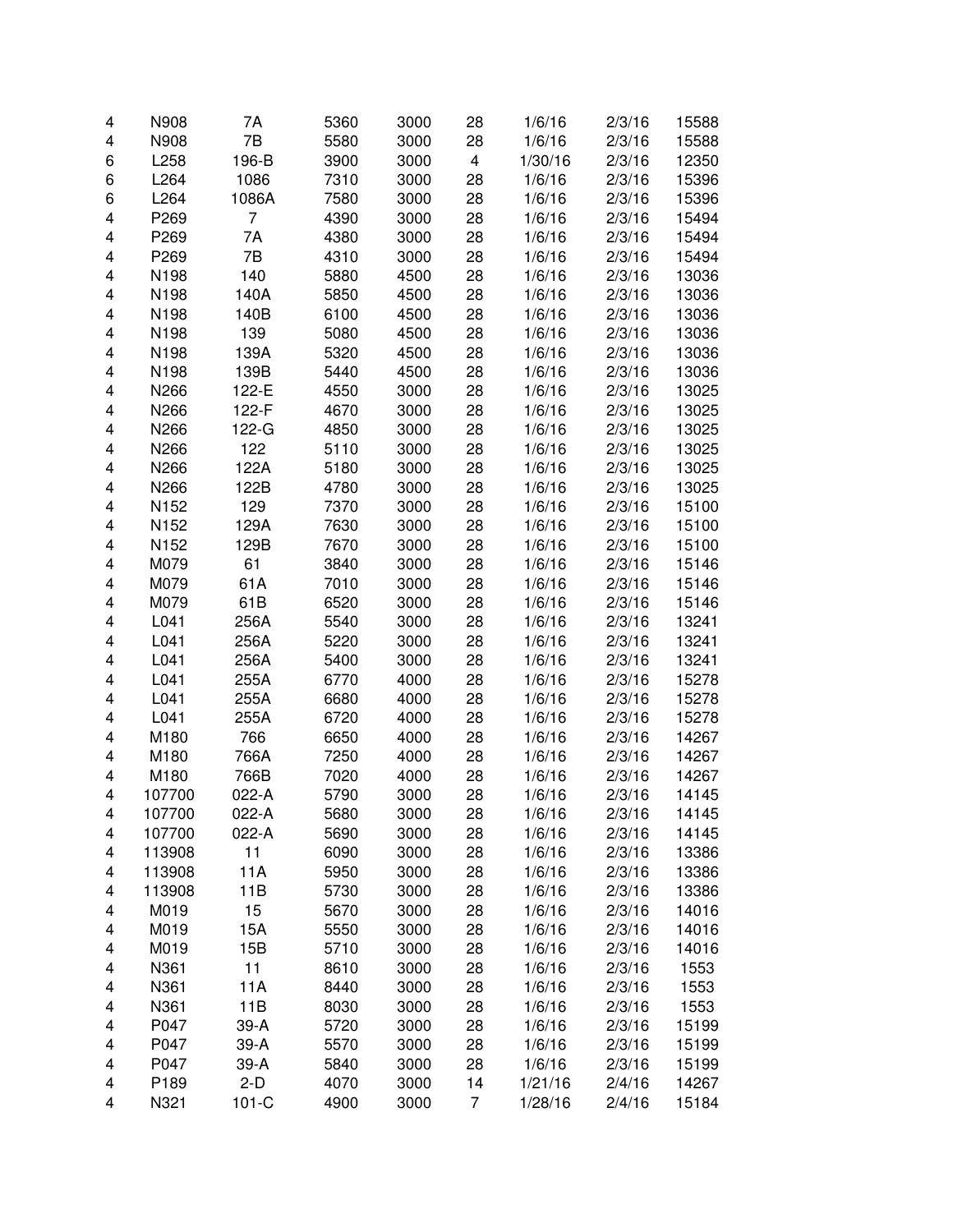| 4 | N908   | 7A      | 5360 | 3000 | 28 | 1/6/16  | 2/3/16 | 15588 |
|---|--------|---------|------|------|----|---------|--------|-------|
| 4 | N908   | 7B      | 5580 | 3000 | 28 | 1/6/16  | 2/3/16 | 15588 |
| 6 | L258   | 196-B   | 3900 | 3000 | 4  | 1/30/16 | 2/3/16 | 12350 |
| 6 | L264   | 1086    | 7310 | 3000 | 28 | 1/6/16  | 2/3/16 | 15396 |
| 6 | L264   | 1086A   | 7580 | 3000 | 28 | 1/6/16  | 2/3/16 | 15396 |
| 4 | P269   | 7       | 4390 | 3000 | 28 | 1/6/16  | 2/3/16 | 15494 |
| 4 | P269   | 7A      | 4380 | 3000 | 28 | 1/6/16  | 2/3/16 | 15494 |
| 4 | P269   | 7B      | 4310 | 3000 | 28 | 1/6/16  | 2/3/16 | 15494 |
| 4 | N198   | 140     | 5880 | 4500 | 28 | 1/6/16  | 2/3/16 | 13036 |
| 4 | N198   | 140A    | 5850 | 4500 | 28 | 1/6/16  | 2/3/16 | 13036 |
| 4 | N198   | 140B    | 6100 | 4500 | 28 | 1/6/16  | 2/3/16 | 13036 |
| 4 | N198   | 139     | 5080 | 4500 | 28 | 1/6/16  | 2/3/16 | 13036 |
| 4 | N198   | 139A    | 5320 | 4500 | 28 | 1/6/16  | 2/3/16 | 13036 |
| 4 | N198   | 139B    | 5440 | 4500 | 28 | 1/6/16  | 2/3/16 | 13036 |
| 4 | N266   | 122-E   | 4550 | 3000 | 28 | 1/6/16  | 2/3/16 | 13025 |
| 4 | N266   | 122-F   | 4670 | 3000 | 28 | 1/6/16  | 2/3/16 | 13025 |
| 4 | N266   | 122-G   | 4850 | 3000 | 28 | 1/6/16  | 2/3/16 | 13025 |
| 4 | N266   | 122     | 5110 | 3000 | 28 | 1/6/16  | 2/3/16 | 13025 |
| 4 | N266   | 122A    | 5180 | 3000 | 28 | 1/6/16  | 2/3/16 | 13025 |
| 4 | N266   | 122B    | 4780 | 3000 | 28 | 1/6/16  | 2/3/16 | 13025 |
| 4 | N152   | 129     | 7370 | 3000 | 28 | 1/6/16  | 2/3/16 | 15100 |
| 4 | N152   | 129A    | 7630 | 3000 | 28 | 1/6/16  | 2/3/16 | 15100 |
| 4 | N152   | 129B    | 7670 | 3000 | 28 | 1/6/16  | 2/3/16 | 15100 |
| 4 | M079   | 61      | 3840 | 3000 | 28 | 1/6/16  | 2/3/16 | 15146 |
| 4 | M079   | 61A     | 7010 | 3000 | 28 | 1/6/16  | 2/3/16 | 15146 |
| 4 | M079   | 61B     | 6520 | 3000 | 28 | 1/6/16  | 2/3/16 | 15146 |
| 4 | L041   | 256A    | 5540 | 3000 | 28 | 1/6/16  | 2/3/16 | 13241 |
| 4 | L041   | 256A    | 5220 | 3000 | 28 | 1/6/16  | 2/3/16 | 13241 |
| 4 | L041   | 256A    | 5400 | 3000 | 28 | 1/6/16  | 2/3/16 | 13241 |
| 4 | L041   | 255A    | 6770 | 4000 | 28 | 1/6/16  | 2/3/16 | 15278 |
| 4 | L041   | 255A    | 6680 | 4000 | 28 | 1/6/16  | 2/3/16 | 15278 |
| 4 | L041   | 255A    | 6720 | 4000 | 28 | 1/6/16  | 2/3/16 | 15278 |
| 4 | M180   | 766     | 6650 | 4000 | 28 | 1/6/16  | 2/3/16 | 14267 |
| 4 | M180   | 766A    | 7250 | 4000 | 28 | 1/6/16  | 2/3/16 | 14267 |
| 4 | M180   | 766B    | 7020 | 4000 | 28 | 1/6/16  | 2/3/16 | 14267 |
| 4 | 107700 | 022-A   | 5790 | 3000 | 28 | 1/6/16  | 2/3/16 | 14145 |
| 4 | 107700 | 022-A   | 5680 | 3000 | 28 | 1/6/16  | 2/3/16 | 14145 |
| 4 | 107700 | 022-A   | 5690 | 3000 | 28 | 1/6/16  | 2/3/16 | 14145 |
| 4 | 113908 | 11      | 6090 | 3000 | 28 | 1/6/16  | 2/3/16 | 13386 |
| 4 | 113908 | 11A     | 5950 | 3000 | 28 | 1/6/16  | 2/3/16 | 13386 |
| 4 | 113908 | 11B     | 5730 | 3000 | 28 | 1/6/16  | 2/3/16 | 13386 |
| 4 | M019   | 15      | 5670 | 3000 | 28 | 1/6/16  | 2/3/16 | 14016 |
| 4 | M019   | 15A     | 5550 | 3000 | 28 | 1/6/16  | 2/3/16 | 14016 |
| 4 | M019   | 15B     | 5710 | 3000 | 28 | 1/6/16  | 2/3/16 | 14016 |
| 4 | N361   | 11      | 8610 | 3000 | 28 | 1/6/16  | 2/3/16 | 1553  |
| 4 | N361   | 11A     | 8440 | 3000 | 28 | 1/6/16  | 2/3/16 | 1553  |
| 4 | N361   | 11B     | 8030 | 3000 | 28 | 1/6/16  | 2/3/16 | 1553  |
| 4 | P047   | 39-A    | 5720 | 3000 | 28 | 1/6/16  | 2/3/16 | 15199 |
| 4 | P047   | 39-A    | 5570 | 3000 | 28 | 1/6/16  | 2/3/16 | 15199 |
| 4 | P047   | 39-A    | 5840 | 3000 | 28 | 1/6/16  | 2/3/16 | 15199 |
| 4 | P189   | $2-D$   | 4070 | 3000 | 14 | 1/21/16 | 2/4/16 | 14267 |
| 4 | N321   | $101-C$ | 4900 | 3000 | 7  | 1/28/16 | 2/4/16 | 15184 |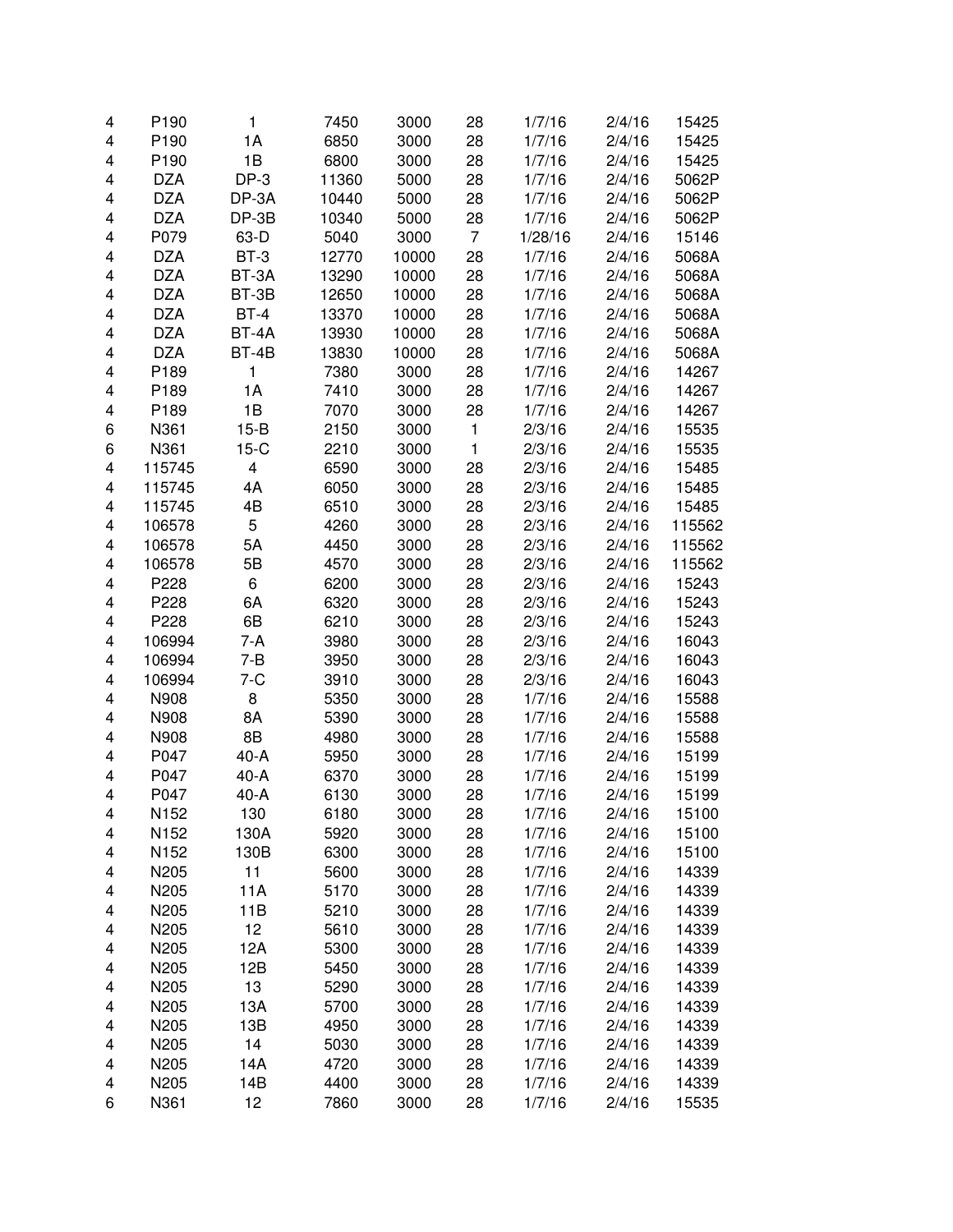| 4      | P <sub>190</sub> | 1                       | 7450  | 3000         | 28             | 1/7/16  | 2/4/16 | 15425  |
|--------|------------------|-------------------------|-------|--------------|----------------|---------|--------|--------|
| 4      | P190             | 1A                      | 6850  | 3000         | 28             | 1/7/16  | 2/4/16 | 15425  |
| 4      | P190             | 1B                      | 6800  | 3000         | 28             | 1/7/16  | 2/4/16 | 15425  |
| 4      | <b>DZA</b>       | $DP-3$                  | 11360 | 5000         | 28             | 1/7/16  | 2/4/16 | 5062P  |
| 4      | <b>DZA</b>       | DP-3A                   | 10440 | 5000         | 28             | 1/7/16  | 2/4/16 | 5062P  |
| 4      | <b>DZA</b>       | DP-3B                   | 10340 | 5000         | 28             | 1/7/16  | 2/4/16 | 5062P  |
| 4      | P079             | 63-D                    | 5040  | 3000         | $\overline{7}$ | 1/28/16 | 2/4/16 | 15146  |
| 4      | <b>DZA</b>       | BT-3                    | 12770 | 10000        | 28             | 1/7/16  | 2/4/16 | 5068A  |
| 4      | <b>DZA</b>       | BT-3A                   | 13290 | 10000        | 28             | 1/7/16  | 2/4/16 | 5068A  |
| 4      | <b>DZA</b>       | BT-3B                   | 12650 | 10000        | 28             | 1/7/16  | 2/4/16 | 5068A  |
| 4      | <b>DZA</b>       | $BT-4$                  | 13370 | 10000        | 28             | 1/7/16  | 2/4/16 | 5068A  |
| 4      | <b>DZA</b>       | BT-4A                   | 13930 | 10000        | 28             | 1/7/16  | 2/4/16 | 5068A  |
| 4      | <b>DZA</b>       | BT-4B                   | 13830 | 10000        | 28             | 1/7/16  | 2/4/16 | 5068A  |
| 4      | P189             | 1                       | 7380  | 3000         | 28             | 1/7/16  | 2/4/16 | 14267  |
| 4      | P189             | 1A                      | 7410  | 3000         | 28             | 1/7/16  | 2/4/16 | 14267  |
| 4      | P189             | 1B                      | 7070  | 3000         | 28             | 1/7/16  | 2/4/16 | 14267  |
| 6      | N361             | $15-B$                  | 2150  | 3000         | 1              | 2/3/16  | 2/4/16 | 15535  |
| 6      | N361             | $15-C$                  | 2210  | 3000         | 1              | 2/3/16  | 2/4/16 | 15535  |
| 4      | 115745           | $\overline{\mathbf{4}}$ | 6590  | 3000         | 28             | 2/3/16  | 2/4/16 | 15485  |
| 4      | 115745           | 4A                      | 6050  | 3000         | 28             | 2/3/16  | 2/4/16 | 15485  |
| 4      | 115745           | 4B                      | 6510  | 3000         | 28             | 2/3/16  | 2/4/16 | 15485  |
| 4      | 106578           | 5                       | 4260  | 3000         | 28             | 2/3/16  | 2/4/16 | 115562 |
| 4      | 106578           | 5A                      | 4450  | 3000         | 28             | 2/3/16  | 2/4/16 | 115562 |
| 4      | 106578           | 5B                      | 4570  | 3000         | 28             | 2/3/16  | 2/4/16 | 115562 |
| 4      | P228             | 6                       | 6200  | 3000         | 28             | 2/3/16  | 2/4/16 | 15243  |
| 4      | P228             | 6A                      | 6320  | 3000         | 28             | 2/3/16  | 2/4/16 | 15243  |
| 4      | P228             | 6B                      | 6210  | 3000         | 28             | 2/3/16  | 2/4/16 | 15243  |
| 4      | 106994           | 7-A                     | 3980  | 3000         | 28             | 2/3/16  | 2/4/16 | 16043  |
| 4      | 106994           | $7 - B$                 | 3950  | 3000         | 28             | 2/3/16  | 2/4/16 | 16043  |
| 4      | 106994           | $7 - C$                 | 3910  | 3000         | 28             | 2/3/16  | 2/4/16 | 16043  |
| 4      | N908             | 8                       | 5350  | 3000         | 28             | 1/7/16  | 2/4/16 | 15588  |
| 4      | N908             | 8A                      | 5390  | 3000         | 28             | 1/7/16  | 2/4/16 | 15588  |
| 4      | N908             | 8B                      | 4980  | 3000         | 28             | 1/7/16  | 2/4/16 | 15588  |
| 4      | P047             | $40-A$                  |       |              |                |         | 2/4/16 | 15199  |
|        |                  |                         | 5950  | 3000         | 28             | 1/7/16  |        |        |
| 4<br>4 | P047<br>P047     | $40-A$                  | 6370  | 3000<br>3000 | 28             | 1/7/16  | 2/4/16 | 15199  |
|        |                  | $40-A$                  | 6130  |              | 28             | 1/7/16  | 2/4/16 | 15199  |
| 4      | N152             | 130                     | 6180  | 3000         | 28             | 1/7/16  | 2/4/16 | 15100  |
| 4      | N152             | 130A                    | 5920  | 3000         | 28             | 1/7/16  | 2/4/16 | 15100  |
| 4      | N152             | 130B                    | 6300  | 3000         | 28             | 1/7/16  | 2/4/16 | 15100  |
| 4      | N205             | 11                      | 5600  | 3000         | 28             | 1/7/16  | 2/4/16 | 14339  |
| 4      | N205             | 11A                     | 5170  | 3000         | 28             | 1/7/16  | 2/4/16 | 14339  |
| 4      | N205             | 11B                     | 5210  | 3000         | 28             | 1/7/16  | 2/4/16 | 14339  |
| 4      | N205             | 12                      | 5610  | 3000         | 28             | 1/7/16  | 2/4/16 | 14339  |
| 4      | N205             | 12A                     | 5300  | 3000         | 28             | 1/7/16  | 2/4/16 | 14339  |
| 4      | N205             | 12B                     | 5450  | 3000         | 28             | 1/7/16  | 2/4/16 | 14339  |
| 4      | N205             | 13                      | 5290  | 3000         | 28             | 1/7/16  | 2/4/16 | 14339  |
| 4      | N205             | 13A                     | 5700  | 3000         | 28             | 1/7/16  | 2/4/16 | 14339  |
| 4      | N205             | 13B                     | 4950  | 3000         | 28             | 1/7/16  | 2/4/16 | 14339  |
| 4      | N205             | 14                      | 5030  | 3000         | 28             | 1/7/16  | 2/4/16 | 14339  |
| 4      | N205             | 14A                     | 4720  | 3000         | 28             | 1/7/16  | 2/4/16 | 14339  |
| 4      | N205             | 14B                     | 4400  | 3000         | 28             | 1/7/16  | 2/4/16 | 14339  |
| 6      | N361             | 12                      | 7860  | 3000         | 28             | 1/7/16  | 2/4/16 | 15535  |